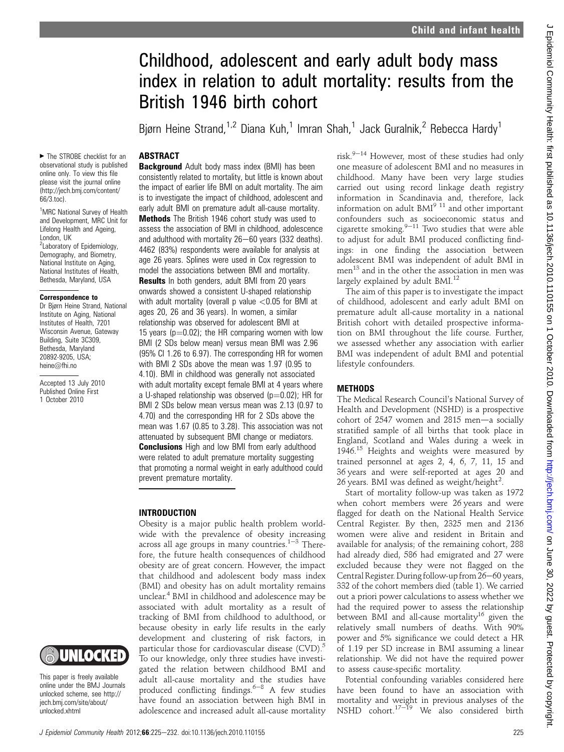# Childhood, adolescent and early adult body mass index in relation to adult mortality: results from the British 1946 birth cohort

Bjørn Heine Strand,<sup>1,2</sup> Diana Kuh,<sup>1</sup> Imran Shah,<sup>1</sup> Jack Guralnik,<sup>2</sup> Rebecca Hardy<sup>1</sup>

# **ABSTRACT**

▶ The STROBE checklist for an observational study is published online only. To view this file please visit the journal online (http://jech.bmj.com/content/ 66/3.toc).

<sup>1</sup>MRC National Survey of Health and Development, MRC Unit for Lifelong Health and Ageing, London, UK <sup>2</sup> Laboratory of Epidemiology, Demography, and Biometry, National Institute on Aging, National Institutes of Health, Bethesda, Maryland, USA

#### Correspondence to

Dr Bjørn Heine Strand, National Institute on Aging, National Institutes of Health, 7201 Wisconsin Avenue, Gateway Building, Suite 3C309, Bethesda, Maryland 20892-9205, USA; heine@fhi.no

Accepted 13 July 2010 Published Online First 1 October 2010



This paper is freely available online under the BMJ Journals unlocked scheme, see http:// jech.bmj.com/site/about/ unlocked.xhtml

**Background** Adult body mass index (BMI) has been consistently related to mortality, but little is known about the impact of earlier life BMI on adult mortality. The aim is to investigate the impact of childhood, adolescent and early adult BMI on premature adult all-cause mortality. Methods The British 1946 cohort study was used to assess the association of BMI in childhood, adolescence and adulthood with mortality  $26-60$  years (332 deaths). 4462 (83%) respondents were available for analysis at age 26 years. Splines were used in Cox regression to model the associations between BMI and mortality. **Results** In both genders, adult BMI from 20 years onwards showed a consistent U-shaped relationship with adult mortality (overall p value  $<$  0.05 for BMI at ages 20, 26 and 36 years). In women, a similar relationship was observed for adolescent BMI at 15 years ( $p=0.02$ ); the HR comparing women with low BMI (2 SDs below mean) versus mean BMI was 2.96 (95% CI 1.26 to 6.97). The corresponding HR for women with BMI 2 SDs above the mean was 1.97 (0.95 to 4.10). BMI in childhood was generally not associated with adult mortality except female BMI at 4 years where a U-shaped relationship was observed ( $p=0.02$ ); HR for BMI 2 SDs below mean versus mean was 2.13 (0.97 to 4.70) and the corresponding HR for 2 SDs above the mean was 1.67 (0.85 to 3.28). This association was not attenuated by subsequent BMI change or mediators. **Conclusions** High and low BMI from early adulthood were related to adult premature mortality suggesting that promoting a normal weight in early adulthood could prevent premature mortality.

## INTRODUCTION

Obesity is a major public health problem worldwide with the prevalence of obesity increasing across all age groups in many countries. $1-3$  Therefore, the future health consequences of childhood obesity are of great concern. However, the impact that childhood and adolescent body mass index (BMI) and obesity has on adult mortality remains unclear.4 BMI in childhood and adolescence may be associated with adult mortality as a result of tracking of BMI from childhood to adulthood, or because obesity in early life results in the early development and clustering of risk factors, in particular those for cardiovascular disease  $(CVD)$ .<sup>5</sup> To our knowledge, only three studies have investigated the relation between childhood BMI and adult all-cause mortality and the studies have produced conflicting findings. $6-8$  A few studies have found an association between high BMI in adolescence and increased adult all-cause mortality risk. $9-14$  However, most of these studies had only one measure of adolescent BMI and no measures in childhood. Many have been very large studies carried out using record linkage death registry information in Scandinavia and, therefore, lack information on adult  $BMI<sup>9</sup>$ <sup>11</sup> and other important confounders such as socioeconomic status and cigarette smoking.<sup>9–11</sup> Two studies that were able to adjust for adult BMI produced conflicting findings: in one finding the association between adolescent BMI was independent of adult BMI in men<sup>13</sup> and in the other the association in men was largely explained by adult  $BMI^{12}$ 

The aim of this paper is to investigate the impact of childhood, adolescent and early adult BMI on premature adult all-cause mortality in a national British cohort with detailed prospective information on BMI throughout the life course. Further, we assessed whether any association with earlier BMI was independent of adult BMI and potential lifestyle confounders.

## **METHODS**

The Medical Research Council's National Survey of Health and Development (NSHD) is a prospective cohort of  $2547$  women and  $2815$  men-a socially stratified sample of all births that took place in England, Scotland and Wales during a week in 1946. $15$  Heights and weights were measured by trained personnel at ages 2, 4, 6, 7, 11, 15 and 36 years and were self-reported at ages 20 and 26 years. BMI was defined as weight/height<sup>2</sup>.

Start of mortality follow-up was taken as 1972 when cohort members were 26 years and were flagged for death on the National Health Service Central Register. By then, 2325 men and 2136 women were alive and resident in Britain and available for analysis; of the remaining cohort, 288 had already died, 586 had emigrated and 27 were excluded because they were not flagged on the Central Register. During follow-up from 26-60 years, 332 of the cohort members died (table 1). We carried out a priori power calculations to assess whether we had the required power to assess the relationship between BMI and all-cause mortality<sup>16</sup> given the relatively small numbers of deaths. With 90% power and 5% significance we could detect a HR of 1.19 per SD increase in BMI assuming a linear relationship. We did not have the required power to assess cause-specific mortality.

Potential confounding variables considered here have been found to have an association with mortality and weight in previous analyses of the NSHD cohort.<sup>17-19</sup> We also considered birth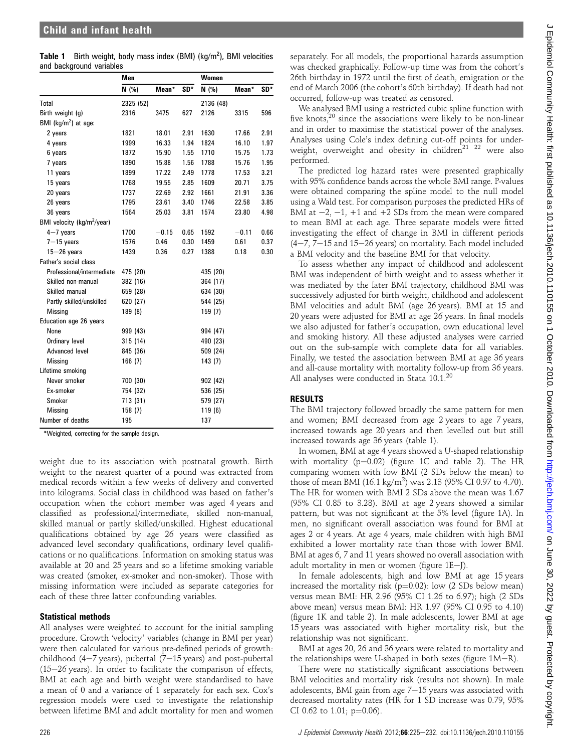| <b>Table 1</b> Birth weight, body mass index (BMI) ( $kg/m2$ ), BMI velocities |  |  |  |  |
|--------------------------------------------------------------------------------|--|--|--|--|
| and background variables                                                       |  |  |  |  |

|                                        | Men       |         |      | Women     |         |      |  |
|----------------------------------------|-----------|---------|------|-----------|---------|------|--|
|                                        | N (%)     | Mean*   | SD*  | N (%)     | Mean*   | SD*  |  |
| Total                                  | 2325 (52) |         |      | 2136 (48) |         |      |  |
| Birth weight (g)                       | 2316      | 3475    | 627  | 2126      | 3315    | 596  |  |
| BMI ( $kg/m2$ ) at age:                |           |         |      |           |         |      |  |
| 2 years                                | 1821      | 18.01   | 2.91 | 1630      | 17.66   | 2.91 |  |
| 4 years                                | 1999      | 16.33   | 1.94 | 1824      | 16.10   | 1.97 |  |
| 6 years                                | 1872      | 15.90   | 1.55 | 1710      | 15.75   | 1.73 |  |
| 7 years                                | 1890      | 15.88   | 1.56 | 1788      | 15.76   | 1.95 |  |
| 11 years                               | 1899      | 17.22   | 2.49 | 1778      | 17.53   | 3.21 |  |
| 15 years                               | 1768      | 19.55   | 2.85 | 1609      | 20.71   | 3.75 |  |
| 20 years                               | 1737      | 22.69   | 2.92 | 1661      | 21.91   | 3.36 |  |
| 26 years                               | 1795      | 23.61   | 3.40 | 1746      | 22.58   | 3.85 |  |
| 36 years                               | 1564      | 25.03   | 3.81 | 1574      | 23.80   | 4.98 |  |
| BMI velocity (kg/m <sup>2</sup> /year) |           |         |      |           |         |      |  |
| $4-7$ years                            | 1700      | $-0.15$ | 0.65 | 1592      | $-0.11$ | 0.66 |  |
| $7 - 15$ years                         | 1576      | 0.46    | 0.30 | 1459      | 0.61    | 0.37 |  |
| $15 - 26$ years                        | 1439      | 0.36    | 0.27 | 1388      | 0.18    | 0.30 |  |
| Father's social class                  |           |         |      |           |         |      |  |
| Professional/intermediate              | 475 (20)  |         |      | 435 (20)  |         |      |  |
| Skilled non-manual                     | 382 (16)  |         |      | 364 (17)  |         |      |  |
| Skilled manual                         | 659 (28)  |         |      | 634 (30)  |         |      |  |
| Partly skilled/unskilled               | 620 (27)  |         |      | 544 (25)  |         |      |  |
| Missing                                | 189 (8)   |         |      | 159(7)    |         |      |  |
| Education age 26 years                 |           |         |      |           |         |      |  |
| None                                   | 999 (43)  |         |      | 994 (47)  |         |      |  |
| Ordinary level                         | 315 (14)  |         |      | 490 (23)  |         |      |  |
| Advanced level                         | 845 (36)  |         |      | 509 (24)  |         |      |  |
| <b>Missing</b>                         | 166(7)    |         |      | 143(7)    |         |      |  |
| Lifetime smoking                       |           |         |      |           |         |      |  |
| Never smoker                           | 700 (30)  |         |      | 902 (42)  |         |      |  |
| Ex-smoker                              | 754 (32)  |         |      | 536 (25)  |         |      |  |
| Smoker                                 | 713 (31)  |         |      | 579 (27)  |         |      |  |
| <b>Missing</b>                         | 158(7)    |         |      | 119(6)    |         |      |  |
| Number of deaths                       | 195       |         |      | 137       |         |      |  |

\*Weighted, correcting for the sample design.

weight due to its association with postnatal growth. Birth weight to the nearest quarter of a pound was extracted from medical records within a few weeks of delivery and converted into kilograms. Social class in childhood was based on father's occupation when the cohort member was aged 4 years and classified as professional/intermediate, skilled non-manual, skilled manual or partly skilled/unskilled. Highest educational qualifications obtained by age 26 years were classified as advanced level secondary qualifications, ordinary level qualifications or no qualifications. Information on smoking status was available at 20 and 25 years and so a lifetime smoking variable was created (smoker, ex-smoker and non-smoker). Those with missing information were included as separate categories for each of these three latter confounding variables.

## Statistical methods

All analyses were weighted to account for the initial sampling procedure. Growth 'velocity' variables (change in BMI per year) were then calculated for various pre-defined periods of growth: childhood  $(4-7 \text{ years})$ , pubertal  $(7-15 \text{ years})$  and post-pubertal  $(15-26 \text{ years})$ . In order to facilitate the comparison of effects, BMI at each age and birth weight were standardised to have a mean of 0 and a variance of 1 separately for each sex. Cox's regression models were used to investigate the relationship between lifetime BMI and adult mortality for men and women

separately. For all models, the proportional hazards assumption was checked graphically. Follow-up time was from the cohort's 26th birthday in 1972 until the first of death, emigration or the end of March 2006 (the cohort's 60th birthday). If death had not occurred, follow-up was treated as censored.

We analysed BMI using a restricted cubic spline function with five knots,<sup>20</sup> since the associations were likely to be non-linear and in order to maximise the statistical power of the analyses. Analyses using Cole's index defining cut-off points for underweight, overweight and obesity in children<sup>21 22</sup> were also performed.

The predicted log hazard rates were presented graphically with 95% confidence bands across the whole BMI range. P-values were obtained comparing the spline model to the null model using a Wald test. For comparison purposes the predicted HRs of BMI at  $-2$ ,  $-1$ ,  $+1$  and  $+2$  SDs from the mean were compared to mean BMI at each age. Three separate models were fitted investigating the effect of change in BMI in different periods  $(4-7, 7-15$  and  $15-26$  years) on mortality. Each model included a BMI velocity and the baseline BMI for that velocity.

To assess whether any impact of childhood and adolescent BMI was independent of birth weight and to assess whether it was mediated by the later BMI trajectory, childhood BMI was successively adjusted for birth weight, childhood and adolescent BMI velocities and adult BMI (age 26 years). BMI at 15 and 20 years were adjusted for BMI at age 26 years. In final models we also adjusted for father's occupation, own educational level and smoking history. All these adjusted analyses were carried out on the sub-sample with complete data for all variables. Finally, we tested the association between BMI at age 36 years and all-cause mortality with mortality follow-up from 36 years. All analyses were conducted in Stata 10.1.<sup>20</sup>

# RESULTS

The BMI trajectory followed broadly the same pattern for men and women; BMI decreased from age 2 years to age 7 years, increased towards age 20 years and then levelled out but still increased towards age 36 years (table 1).

In women, BMI at age 4 years showed a U-shaped relationship with mortality ( $p=0.02$ ) (figure 1C and table 2). The HR comparing women with low BMI (2 SDs below the mean) to those of mean BMI (16.1 kg/m<sup>2</sup>) was 2.13 (95% CI 0.97 to 4.70). The HR for women with BMI 2 SDs above the mean was 1.67 (95% CI 0.85 to 3.28). BMI at age 2 years showed a similar pattern, but was not significant at the 5% level (figure 1A). In men, no significant overall association was found for BMI at ages 2 or 4 years. At age 4 years, male children with high BMI exhibited a lower mortality rate than those with lower BMI. BMI at ages 6, 7 and 11 years showed no overall association with adult mortality in men or women (figure  $1E-J$ ).

In female adolescents, high and low BMI at age 15 years increased the mortality risk ( $p=0.02$ ): low (2 SDs below mean) versus mean BMI: HR 2.96 (95% CI 1.26 to 6.97); high (2 SDs above mean) versus mean BMI: HR 1.97 (95% CI 0.95 to 4.10) (figure 1K and table 2). In male adolescents, lower BMI at age 15 years was associated with higher mortality risk, but the relationship was not significant.

BMI at ages 20, 26 and 36 years were related to mortality and the relationships were U-shaped in both sexes (figure  $1M-R$ ).

There were no statistically significant associations between BMI velocities and mortality risk (results not shown). In male adolescents, BMI gain from age  $7-15$  years was associated with decreased mortality rates (HR for 1 SD increase was 0.79, 95% CI 0.62 to 1.01;  $p=0.06$ ).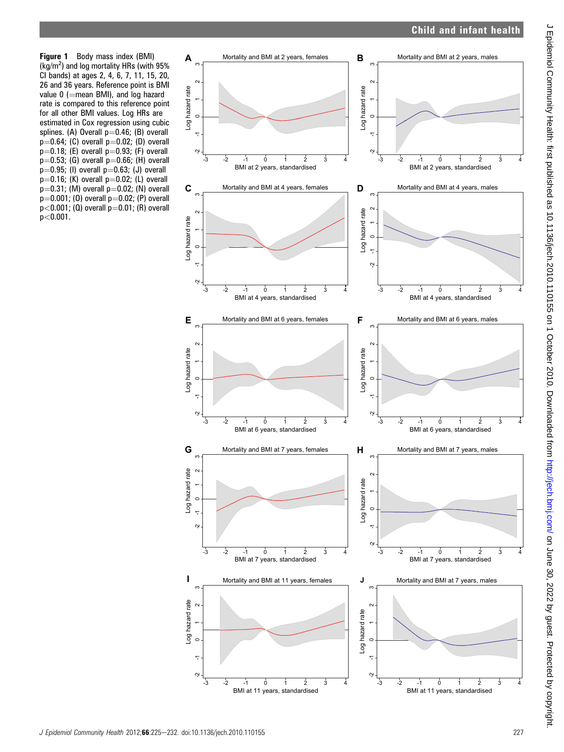# Child and infant health

Figure 1 Body mass index (BMI) (kg/m<sup>2</sup> ) and log mortality HRs (with 95% CI bands) at ages 2, 4, 6, 7, 11, 15, 20, 26 and 36 years. Reference point is BMI value  $0$  (=mean BMI), and log hazard rate is compared to this reference point for all other BMI values. Log HRs are estimated in Cox regression using cubic splines. (A) Overall  $p=0.46$ ; (B) overall  $p=0.64$ ; (C) overall  $p=0.02$ ; (D) overall  $p=0.18$ ; (E) overall  $p=0.93$ ; (F) overall  $p=0.53$ ; (G) overall  $p=0.66$ ; (H) overall  $p=0.95$ ; (I) overall  $p=0.63$ ; (J) overall  $p=0.16$ ; (K) overall  $p=0.02$ ; (L) overall  $p=0.31$ ; (M) overall  $p=0.02$ ; (N) overall  $p=0.001$ ; (0) overall  $p=0.02$ ; (P) overall  $p$ <0.001; (Q) overall  $p$ =0.01; (R) overall p<0.001.

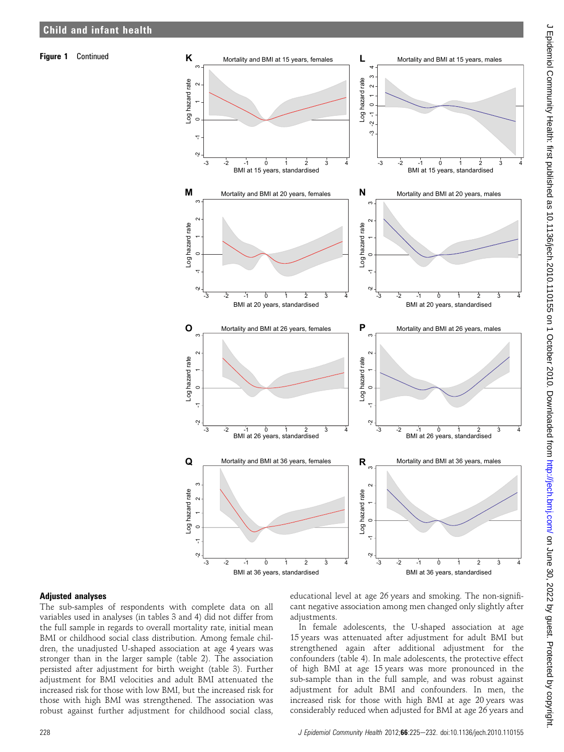

#### Adjusted analyses

The sub-samples of respondents with complete data on all variables used in analyses (in tables 3 and 4) did not differ from the full sample in regards to overall mortality rate, initial mean BMI or childhood social class distribution. Among female children, the unadjusted U-shaped association at age 4 years was stronger than in the larger sample (table 2). The association persisted after adjustment for birth weight (table 3). Further adjustment for BMI velocities and adult BMI attenuated the increased risk for those with low BMI, but the increased risk for those with high BMI was strengthened. The association was robust against further adjustment for childhood social class,

educational level at age 26 years and smoking. The non-significant negative association among men changed only slightly after adjustments.

In female adolescents, the U-shaped association at age 15 years was attenuated after adjustment for adult BMI but strengthened again after additional adjustment for the confounders (table 4). In male adolescents, the protective effect of high BMI at age 15 years was more pronounced in the sub-sample than in the full sample, and was robust against adjustment for adult BMI and confounders. In men, the increased risk for those with high BMI at age 20 years was considerably reduced when adjusted for BMI at age 26 years and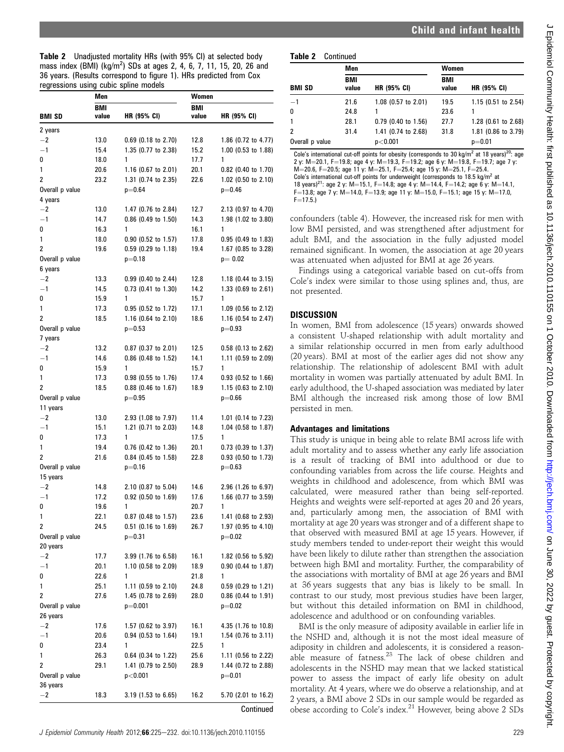|  | <b>Table 2</b> Unadjusted mortality HRs (with 95% CI) at selected body           |  |  |  |
|--|----------------------------------------------------------------------------------|--|--|--|
|  | mass index (BMI) (kg/m <sup>2</sup> ) SDs at ages 2, 4, 6, 7, 11, 15, 20, 26 and |  |  |  |
|  | 36 years. (Results correspond to figure 1). HRs predicted from Cox               |  |  |  |
|  | regressions using cubic spline models                                            |  |  |  |

| <b>BMI</b><br><b>BMI</b><br>BMI SD<br>value<br>HR (95% CI)<br>value<br>HR (95% CI)<br>2 years<br>$-2$<br>13.0<br>$0.69$ (0.18 to 2.70)<br>12.8<br>1.86 $(0.72$ to 4.77)<br>$-1$<br>15.4<br>1.35 (0.77 to 2.38)<br>15.2<br>1.00 (0.53 to 1.88)<br>0<br>18.0<br>17.7<br>1<br>1<br>20.6<br>20.1<br>1<br>1.16 $(0.67$ to 2.01)<br>0.82 (0.40 to 1.70)<br>2<br>23.2<br>1.31 (0.74 to 2.35)<br>22.6<br>1.02 (0.50 to 2.10)<br>Overall p value<br>$p = 0.64$<br>$p=0.46$<br>4 years<br>$^{-2}$<br>13.0<br>1.47 (0.76 to 2.84)<br>12.7<br>2.13 (0.97 to 4.70)<br>$-1$<br>14.7<br>0.86 (0.49 to 1.50)<br>1.98 (1.02 to 3.80)<br>14.3<br>0<br>16.3<br>1<br>16.1<br>1<br>1<br>18.0<br>$0.90$ (0.52 to 1.57)<br>17.8<br>$0.95$ (0.49 to 1.83)<br>2<br>19.6<br>$0.59$ (0.29 to 1.18)<br>19.4<br>1.67 (0.85 to 3.28)<br>Overall p value<br>$p = 0.18$<br>$p=0.02$ |
|-----------------------------------------------------------------------------------------------------------------------------------------------------------------------------------------------------------------------------------------------------------------------------------------------------------------------------------------------------------------------------------------------------------------------------------------------------------------------------------------------------------------------------------------------------------------------------------------------------------------------------------------------------------------------------------------------------------------------------------------------------------------------------------------------------------------------------------------------------|
|                                                                                                                                                                                                                                                                                                                                                                                                                                                                                                                                                                                                                                                                                                                                                                                                                                                     |
|                                                                                                                                                                                                                                                                                                                                                                                                                                                                                                                                                                                                                                                                                                                                                                                                                                                     |
|                                                                                                                                                                                                                                                                                                                                                                                                                                                                                                                                                                                                                                                                                                                                                                                                                                                     |
|                                                                                                                                                                                                                                                                                                                                                                                                                                                                                                                                                                                                                                                                                                                                                                                                                                                     |
|                                                                                                                                                                                                                                                                                                                                                                                                                                                                                                                                                                                                                                                                                                                                                                                                                                                     |
|                                                                                                                                                                                                                                                                                                                                                                                                                                                                                                                                                                                                                                                                                                                                                                                                                                                     |
|                                                                                                                                                                                                                                                                                                                                                                                                                                                                                                                                                                                                                                                                                                                                                                                                                                                     |
|                                                                                                                                                                                                                                                                                                                                                                                                                                                                                                                                                                                                                                                                                                                                                                                                                                                     |
|                                                                                                                                                                                                                                                                                                                                                                                                                                                                                                                                                                                                                                                                                                                                                                                                                                                     |
|                                                                                                                                                                                                                                                                                                                                                                                                                                                                                                                                                                                                                                                                                                                                                                                                                                                     |
|                                                                                                                                                                                                                                                                                                                                                                                                                                                                                                                                                                                                                                                                                                                                                                                                                                                     |
|                                                                                                                                                                                                                                                                                                                                                                                                                                                                                                                                                                                                                                                                                                                                                                                                                                                     |
|                                                                                                                                                                                                                                                                                                                                                                                                                                                                                                                                                                                                                                                                                                                                                                                                                                                     |
|                                                                                                                                                                                                                                                                                                                                                                                                                                                                                                                                                                                                                                                                                                                                                                                                                                                     |
|                                                                                                                                                                                                                                                                                                                                                                                                                                                                                                                                                                                                                                                                                                                                                                                                                                                     |
| 6 years                                                                                                                                                                                                                                                                                                                                                                                                                                                                                                                                                                                                                                                                                                                                                                                                                                             |
| $^{-2}$<br>13.3<br>0.99 (0.40 to 2.44)<br>12.8<br>1.18 $(0.44$ to 3.15)                                                                                                                                                                                                                                                                                                                                                                                                                                                                                                                                                                                                                                                                                                                                                                             |
| $-1$<br>14.5<br>0.73 (0.41 to 1.30)<br>14.2<br>1.33 (0.69 to 2.61)                                                                                                                                                                                                                                                                                                                                                                                                                                                                                                                                                                                                                                                                                                                                                                                  |
| 0<br>15.9<br>1<br>15.7<br>1                                                                                                                                                                                                                                                                                                                                                                                                                                                                                                                                                                                                                                                                                                                                                                                                                         |
| 1<br>0.95 (0.52 to 1.72)<br>17.1<br>17.3<br>1.09 (0.56 to 2.12)                                                                                                                                                                                                                                                                                                                                                                                                                                                                                                                                                                                                                                                                                                                                                                                     |
| 2<br>18.5<br>1.16 (0.64 to 2.10)<br>18.6<br>1.16 (0.54 to 2.47)                                                                                                                                                                                                                                                                                                                                                                                                                                                                                                                                                                                                                                                                                                                                                                                     |
| Overall p value<br>$p=0.53$<br>$p = 0.93$                                                                                                                                                                                                                                                                                                                                                                                                                                                                                                                                                                                                                                                                                                                                                                                                           |
| 7 years                                                                                                                                                                                                                                                                                                                                                                                                                                                                                                                                                                                                                                                                                                                                                                                                                                             |
| $^{-2}$<br>13.2<br>$0.87$ (0.37 to 2.01)<br>12.5<br>0.58 (0.13 to 2.62)                                                                                                                                                                                                                                                                                                                                                                                                                                                                                                                                                                                                                                                                                                                                                                             |
| $-1$<br>14.6<br>0.86 (0.48 to 1.52)<br>1.11 (0.59 to 2.09)<br>14.1                                                                                                                                                                                                                                                                                                                                                                                                                                                                                                                                                                                                                                                                                                                                                                                  |
| 15.9<br>15.7<br>0<br>1<br>1                                                                                                                                                                                                                                                                                                                                                                                                                                                                                                                                                                                                                                                                                                                                                                                                                         |
| 1<br>$0.98$ (0.55 to 1.76)<br>17.4<br>0.93 (0.52 to 1.66)<br>17.3                                                                                                                                                                                                                                                                                                                                                                                                                                                                                                                                                                                                                                                                                                                                                                                   |
| 2<br>18.5<br>0.88 (0.46 to 1.67)<br>18.9<br>1.15 (0.63 to 2.10)                                                                                                                                                                                                                                                                                                                                                                                                                                                                                                                                                                                                                                                                                                                                                                                     |
| Overall p value<br>$p = 0.95$<br>$p=0.66$                                                                                                                                                                                                                                                                                                                                                                                                                                                                                                                                                                                                                                                                                                                                                                                                           |
| 11 years                                                                                                                                                                                                                                                                                                                                                                                                                                                                                                                                                                                                                                                                                                                                                                                                                                            |
| $^{-2}$<br>13.0<br>2.93 (1.08 to 7.97)<br>11.4<br>1.01 $(0.14$ to 7.23)                                                                                                                                                                                                                                                                                                                                                                                                                                                                                                                                                                                                                                                                                                                                                                             |
| $-1$<br>1.21 (0.71 to 2.03)<br>14.8<br>1.04 (0.58 to 1.87)<br>15.1                                                                                                                                                                                                                                                                                                                                                                                                                                                                                                                                                                                                                                                                                                                                                                                  |
| 17.3<br>17.5<br>0<br>1<br>1                                                                                                                                                                                                                                                                                                                                                                                                                                                                                                                                                                                                                                                                                                                                                                                                                         |
| 1<br>20.1<br>19.4<br>$0.76$ (0.42 to 1.36)<br>0.73 (0.39 to 1.37)                                                                                                                                                                                                                                                                                                                                                                                                                                                                                                                                                                                                                                                                                                                                                                                   |
| 2<br>0.84 (0.45 to 1.58)<br>0.93 (0.50 to 1.73)<br>21.6<br>22.8                                                                                                                                                                                                                                                                                                                                                                                                                                                                                                                                                                                                                                                                                                                                                                                     |
| Overall p value<br>$p = 0.16$<br>$p=0.63$                                                                                                                                                                                                                                                                                                                                                                                                                                                                                                                                                                                                                                                                                                                                                                                                           |
| 15 years                                                                                                                                                                                                                                                                                                                                                                                                                                                                                                                                                                                                                                                                                                                                                                                                                                            |
| $^{-2}$<br>14.8<br>2.10 (0.87 to 5.04)<br>14.6<br>2.96 (1.26 to 6.97)                                                                                                                                                                                                                                                                                                                                                                                                                                                                                                                                                                                                                                                                                                                                                                               |
| $-1$<br>0.92 (0.50 to 1.69)<br>1.66 (0.77 to 3.59)<br>17.2<br>17.6                                                                                                                                                                                                                                                                                                                                                                                                                                                                                                                                                                                                                                                                                                                                                                                  |
| 0<br>19.6<br>1<br>1<br>20.7                                                                                                                                                                                                                                                                                                                                                                                                                                                                                                                                                                                                                                                                                                                                                                                                                         |
| 1<br>22.1<br>$0.87$ (0.48 to 1.57)<br>23.6<br>1.41 (0.68 to 2.93)                                                                                                                                                                                                                                                                                                                                                                                                                                                                                                                                                                                                                                                                                                                                                                                   |
| 2<br>24.5<br>$0.51$ (0.16 to 1.69)<br>26.7<br>1.97 $(0.95$ to 4.10)                                                                                                                                                                                                                                                                                                                                                                                                                                                                                                                                                                                                                                                                                                                                                                                 |
| Overall p value<br>$p=0.31$<br>$p=0.02$<br>20 years                                                                                                                                                                                                                                                                                                                                                                                                                                                                                                                                                                                                                                                                                                                                                                                                 |
| $^{-2}$<br>1.82 (0.56 to 5.92)<br>17.7<br>$3.99$ (1.76 to 6.58)<br>16.1                                                                                                                                                                                                                                                                                                                                                                                                                                                                                                                                                                                                                                                                                                                                                                             |
| $-1$<br>1.10 (0.58 to 2.09)<br>20.1<br>18.9<br>0.90 (0.44 to 1.87)                                                                                                                                                                                                                                                                                                                                                                                                                                                                                                                                                                                                                                                                                                                                                                                  |
| 0<br>1<br>21.8<br>1<br>22.6                                                                                                                                                                                                                                                                                                                                                                                                                                                                                                                                                                                                                                                                                                                                                                                                                         |
| 1<br>25.1<br>1.11 (0.59 to 2.10)<br>24.8<br>$0.59$ (0.29 to 1.21)                                                                                                                                                                                                                                                                                                                                                                                                                                                                                                                                                                                                                                                                                                                                                                                   |
| 2<br>1.45 (0.78 to 2.69)<br>0.86 (0.44 to 1.91)<br>27.6<br>28.0                                                                                                                                                                                                                                                                                                                                                                                                                                                                                                                                                                                                                                                                                                                                                                                     |
| Overall p value<br>$p=0.001$<br>$p=0.02$                                                                                                                                                                                                                                                                                                                                                                                                                                                                                                                                                                                                                                                                                                                                                                                                            |
| 26 years                                                                                                                                                                                                                                                                                                                                                                                                                                                                                                                                                                                                                                                                                                                                                                                                                                            |
| $^{-2}$<br>17.6<br>1.57 (0.62 to 3.97)<br>16.1<br>4.35 (1.76 to 10.8)                                                                                                                                                                                                                                                                                                                                                                                                                                                                                                                                                                                                                                                                                                                                                                               |
| $-1$<br>$0.94$ (0.53 to 1.64)<br>$1.54$ (0.76 to 3.11)<br>20.6<br>19.1                                                                                                                                                                                                                                                                                                                                                                                                                                                                                                                                                                                                                                                                                                                                                                              |
| 1<br>22.5<br>1<br>0<br>23.4                                                                                                                                                                                                                                                                                                                                                                                                                                                                                                                                                                                                                                                                                                                                                                                                                         |
| 1<br>0.64 (0.34 to 1.22)<br>1.11 (0.56 to 2.22)<br>26.3<br>25.6                                                                                                                                                                                                                                                                                                                                                                                                                                                                                                                                                                                                                                                                                                                                                                                     |
| 2<br>1.41 (0.79 to 2.50)<br>1.44 (0.72 to 2.88)<br>29.1<br>28.9                                                                                                                                                                                                                                                                                                                                                                                                                                                                                                                                                                                                                                                                                                                                                                                     |
| Overall p value<br>p<0.001<br>$p=0.01$                                                                                                                                                                                                                                                                                                                                                                                                                                                                                                                                                                                                                                                                                                                                                                                                              |
| 36 years                                                                                                                                                                                                                                                                                                                                                                                                                                                                                                                                                                                                                                                                                                                                                                                                                                            |
| $^{-2}$<br>18.3<br>3.19 (1.53 to 6.65)<br>16.2<br>5.70 (2.01 to 16.2)                                                                                                                                                                                                                                                                                                                                                                                                                                                                                                                                                                                                                                                                                                                                                                               |
| Continued                                                                                                                                                                                                                                                                                                                                                                                                                                                                                                                                                                                                                                                                                                                                                                                                                                           |

| Table 2 | Continued |
|---------|-----------|
|         |           |

|                 | Men          |                       | Women               |                     |
|-----------------|--------------|-----------------------|---------------------|---------------------|
| <b>BMI SD</b>   | BMI<br>value | <b>HR (95% CI)</b>    | <b>BMI</b><br>value | <b>HR (95% CI)</b>  |
| $-1$            | 21.6         | 1.08 (0.57 to 2.01)   | 19.5                | 1.15 (0.51 to 2.54) |
| 0               | 24.8         |                       | 23.6                |                     |
|                 | 28.1         | $0.79$ (0.40 to 1.56) | 27.7                | 1.28 (0.61 to 2.68) |
| $\overline{2}$  | 31.4         | 1.41 (0.74 to 2.68)   | 31.8                | 1.81 (0.86 to 3.79) |
| Overall p value |              | p<0.001               |                     | $p=0.01$            |

Cole's international cut-off points for obesity (corresponds to 30 kg/m<sup>2</sup> at 18 years)<sup>20</sup>: age 2 y: M=20.1, F=19.8; age 4 y: M=19.3, F=19.2; age 6 y: M=19.8, F=19.7; age 7 y: M=20.6, F=20.5; age 11 y: M=25.1, F=25.4; age 15 y: M=25.1, F=25.4. Cole's international cut-off points for underweight (corresponds to  $18.5 \text{ kg/m}^2$  at 18 years)<sup>21</sup>: age 2 y: M=15.1, F=14.8; age 4 y: M=14.4, F=14.2; age 6 y: M=14.1, F=13.8; age 7 y: M=14.0, F=13.9; age 11 y: M=15.0, F=15.1; age 15 y: M=17.0,  $F = 17.5.$ 

confounders (table 4). However, the increased risk for men with low BMI persisted, and was strengthened after adjustment for adult BMI, and the association in the fully adjusted model remained significant. In women, the association at age 20 years was attenuated when adjusted for BMI at age 26 years.

Findings using a categorical variable based on cut-offs from Cole's index were similar to those using splines and, thus, are not presented.

# DISCUSSION

In women, BMI from adolescence (15 years) onwards showed a consistent U-shaped relationship with adult mortality and a similar relationship occurred in men from early adulthood (20 years). BMI at most of the earlier ages did not show any relationship. The relationship of adolescent BMI with adult mortality in women was partially attenuated by adult BMI. In early adulthood, the U-shaped association was mediated by later BMI although the increased risk among those of low BMI persisted in men.

## Advantages and limitations

This study is unique in being able to relate BMI across life with adult mortality and to assess whether any early life association is a result of tracking of BMI into adulthood or due to confounding variables from across the life course. Heights and weights in childhood and adolescence, from which BMI was calculated, were measured rather than being self-reported. Heights and weights were self-reported at ages 20 and 26 years, and, particularly among men, the association of BMI with mortality at age 20 years was stronger and of a different shape to that observed with measured BMI at age 15 years. However, if study members tended to under-report their weight this would have been likely to dilute rather than strengthen the association between high BMI and mortality. Further, the comparability of the associations with mortality of BMI at age 26 years and BMI at 36 years suggests that any bias is likely to be small. In contrast to our study, most previous studies have been larger, but without this detailed information on BMI in childhood, adolescence and adulthood or on confounding variables.

BMI is the only measure of adiposity available in earlier life in the NSHD and, although it is not the most ideal measure of adiposity in children and adolescents, it is considered a reasonable measure of fatness.<sup>23</sup> The lack of obese children and adolescents in the NSHD may mean that we lacked statistical power to assess the impact of early life obesity on adult mortality. At 4 years, where we do observe a relationship, and at 2 years, a BMI above 2 SDs in our sample would be regarded as obese according to Cole's index.21 However, being above 2 SDs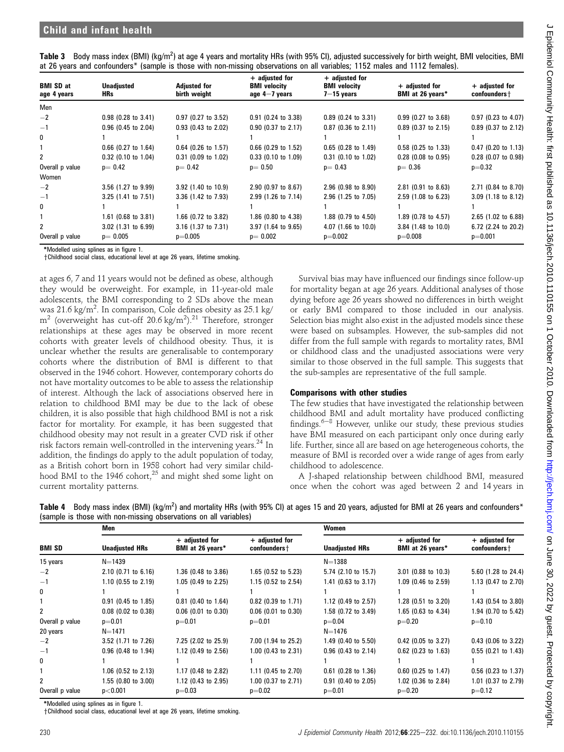| Table 3 Body mass index (BMI) (kg/m <sup>2</sup> ) at age 4 years and mortality HRs (with 95% CI), adjusted successively for birth weight, BMI velocities, BMI |  |  |  |  |
|----------------------------------------------------------------------------------------------------------------------------------------------------------------|--|--|--|--|
| at 26 years and confounders* (sample is those with non-missing observations on all variables; 1152 males and 1112 females).                                    |  |  |  |  |

| <b>BMI SD at</b><br>age 4 years | <b>Unadjusted</b><br>HRs. | <b>Adjusted for</b><br>birth weight | $+$ adjusted for<br><b>BMI</b> velocity<br>age $4-7$ years | $+$ adjusted for<br><b>BMI</b> velocity<br>$7 - 15$ years | $+$ adjusted for<br>BMI at 26 years* | $+$ adjusted for<br>confounders + |
|---------------------------------|---------------------------|-------------------------------------|------------------------------------------------------------|-----------------------------------------------------------|--------------------------------------|-----------------------------------|
| Men                             |                           |                                     |                                                            |                                                           |                                      |                                   |
| $-2$                            | $0.98$ (0.28 to 3.41)     | $0.97$ (0.27 to 3.52)               | $0.91$ (0.24 to 3.38)                                      | $0.89$ (0.24 to 3.31)                                     | $0.99$ (0.27 to 3.68)                | $0.97$ (0.23 to 4.07)             |
| $-1$                            | $0.96$ (0.45 to 2.04)     | $0.93$ (0.43 to 2.02)               | $0.90$ (0.37 to 2.17)                                      | $0.87$ (0.36 to 2.11)                                     | $0.89$ (0.37 to 2.15)                | 0.89 (0.37 to 2.12)               |
| 0                               |                           |                                     |                                                            |                                                           |                                      |                                   |
|                                 | $0.66$ (0.27 to 1.64)     | $0.64$ (0.26 to 1.57)               | $0.66$ (0.29 to 1.52)                                      | $0.65$ (0.28 to 1.49)                                     | $0.58$ (0.25 to 1.33)                | $0.47$ (0.20 to 1.13)             |
| $\mathbf{2}$                    | 0.32 (0.10 to 1.04)       | $0.31$ (0.09 to 1.02)               | $0.33$ (0.10 to 1.09)                                      | 0.31 (0.10 to 1.02)                                       | $0.28$ (0.08 to 0.95)                | $0.28$ (0.07 to 0.98)             |
| Overall p value                 | $p = 0.42$                | $p=0.42$                            | $p=0.50$                                                   | $p = 0.43$                                                | $p = 0.36$                           | $p=0.32$                          |
| Women                           |                           |                                     |                                                            |                                                           |                                      |                                   |
| $-2$                            | 3.56 (1.27 to 9.99)       | 3.92 (1.40 to 10.9)                 | 2.90 (0.97 to 8.67)                                        | $2.96$ (0.98 to 8.90)                                     | $2.81$ (0.91 to 8.63)                | 2.71 (0.84 to 8.70)               |
| $-1$                            | 3.25 (1.41 to 7.51)       | 3.36 (1.42 to 7.93)                 | 2.99 (1.26 to 7.14)                                        | 2.96 (1.25 to 7.05)                                       | $2.59$ (1.08 to 6.23)                | 3.09 (1.18 to 8.12)               |
| 0                               |                           |                                     |                                                            |                                                           |                                      |                                   |
|                                 | $1.61$ (0.68 to 3.81)     | 1.66 (0.72 to 3.82)                 | 1.86 (0.80 to 4.38)                                        | 1.88 (0.79 to 4.50)                                       | 1.89 (0.78 to 4.57)                  | 2.65 (1.02 to 6.88)               |
| $\overline{2}$                  | 3.02 (1.31 to 6.99)       | 3.16 (1.37 to 7.31)                 | 3.97 (1.64 to 9.65)                                        | 4.07 (1.66 to 10.0)                                       | 3.84 (1.48 to 10.0)                  | 6.72 (2.24 to 20.2)               |
| Overall p value                 | $p = 0.005$               | $p=0.005$                           | $p=0.002$                                                  | $p=0.002$                                                 | $p=0.008$                            | $p=0.001$                         |

\*Modelled using splines as in figure 1.

yChildhood social class, educational level at age 26 years, lifetime smoking.

at ages 6, 7 and 11 years would not be defined as obese, although they would be overweight. For example, in 11-year-old male adolescents, the BMI corresponding to 2 SDs above the mean was 21.6 kg/m $^2$ . In comparison, Cole defines obesity as 25.1 kg/  $m^2$  (overweight has cut-off 20.6 kg/m<sup>2</sup>).<sup>21</sup> Therefore, stronger relationships at these ages may be observed in more recent cohorts with greater levels of childhood obesity. Thus, it is unclear whether the results are generalisable to contemporary cohorts where the distribution of BMI is different to that observed in the 1946 cohort. However, contemporary cohorts do not have mortality outcomes to be able to assess the relationship of interest. Although the lack of associations observed here in relation to childhood BMI may be due to the lack of obese children, it is also possible that high childhood BMI is not a risk factor for mortality. For example, it has been suggested that childhood obesity may not result in a greater CVD risk if other risk factors remain well-controlled in the intervening years.<sup>24</sup> In addition, the findings do apply to the adult population of today, as a British cohort born in 1958 cohort had very similar childhood BMI to the 1946 cohort, $25$  and might shed some light on current mortality patterns.

Survival bias may have influenced our findings since follow-up for mortality began at age 26 years. Additional analyses of those dying before age 26 years showed no differences in birth weight or early BMI compared to those included in our analysis. Selection bias might also exist in the adjusted models since these were based on subsamples. However, the sub-samples did not differ from the full sample with regards to mortality rates, BMI or childhood class and the unadjusted associations were very similar to those observed in the full sample. This suggests that the sub-samples are representative of the full sample.

#### Comparisons with other studies

The few studies that have investigated the relationship between childhood BMI and adult mortality have produced conflicting findings. $6-8$  However, unlike our study, these previous studies have BMI measured on each participant only once during early life. Further, since all are based on age heterogeneous cohorts, the measure of BMI is recorded over a wide range of ages from early childhood to adolescence.

A J-shaped relationship between childhood BMI, measured once when the cohort was aged between 2 and 14 years in

| Table 4 Body mass index (BMI) (kg/m <sup>2</sup> ) and mortality HRs (with 95% CI) at ages 15 and 20 years, adjusted for BMI at 26 years and confounders* |  |
|-----------------------------------------------------------------------------------------------------------------------------------------------------------|--|
| (sample is those with non-missing observations on all variables)                                                                                          |  |

|                 | Men                   |                                      |                                   | Women                 |                                      |                                  |  |
|-----------------|-----------------------|--------------------------------------|-----------------------------------|-----------------------|--------------------------------------|----------------------------------|--|
| <b>BMI SD</b>   | <b>Unadjusted HRs</b> | $+$ adjusted for<br>BMI at 26 years* | $+$ adjusted for<br>confounders + | <b>Unadjusted HRs</b> | $+$ adjusted for<br>BMI at 26 years* | $+$ adjusted for<br>confounders+ |  |
| 15 years        | $N = 1439$            |                                      |                                   | $N = 1388$            |                                      |                                  |  |
| $-2$            | $2.10$ (0.71 to 6.16) | 1.36 (0.48 to 3.86)                  | $1.65$ (0.52 to 5.23)             | 5.74 (2.10 to 15.7)   | 3.01 (0.88 to 10.3)                  | 5.60 (1.28 to 24.4)              |  |
| $-1$            | $1.10$ (0.55 to 2.19) | 1.05 (0.49 to 2.25)                  | $1.15$ (0.52 to 2.54)             | 1.41 (0.63 to 3.17)   | 1.09 (0.46 to 2.59)                  | 1.13 (0.47 to 2.70)              |  |
| 0               |                       |                                      |                                   |                       |                                      |                                  |  |
|                 | $0.91$ (0.45 to 1.85) | $0.81$ (0.40 to 1.64)                | $0.82$ (0.39 to 1.71)             | 1.12 (0.49 to 2.57)   | $1.28$ (0.51 to 3.20)                | 1.43 (0.54 to 3.80)              |  |
| 2               | $0.08$ (0.02 to 0.38) | $0.06$ (0.01 to 0.30)                | $0.06$ (0.01 to 0.30)             | 1.58 (0.72 to 3.49)   | $1.65$ (0.63 to 4.34)                | 1.94 (0.70 to 5.42)              |  |
| Overall p value | $p=0.01$              | $p=0.01$                             | $p=0.01$                          | $p=0.04$              | $p=0.20$                             | $p=0.10$                         |  |
| 20 years        | $N = 1471$            |                                      |                                   | $N=1476$              |                                      |                                  |  |
| $-2$            | 3.52 (1.71 to 7.26)   | 7.25 (2.02 to 25.9)                  | 7.00 (1.94 to 25.2)               | 1.49 (0.40 to 5.50)   | $0.42$ (0.05 to 3.27)                | 0.43 (0.06 to 3.22)              |  |
| $-1$            | $0.96$ (0.48 to 1.94) | 1.12 (0.49 to 2.56)                  | $1.00$ (0.43 to 2.31)             | $0.96$ (0.43 to 2.14) | $0.62$ (0.23 to 1.63)                | $0.55$ (0.21 to 1.43)            |  |
| 0               |                       |                                      |                                   |                       |                                      |                                  |  |
|                 | 1.06 (0.52 to 2.13)   | 1.17 (0.48 to 2.82)                  | 1.11 (0.45 to 2.70)               | $0.61$ (0.28 to 1.36) | $0.60$ (0.25 to 1.47)                | 0.56 (0.23 to 1.37)              |  |
| 2               | 1.55 (0.80 to 3.00)   | 1.12 (0.43 to 2.95)                  | 1.00 $(0.37$ to 2.71)             | $0.91$ (0.40 to 2.05) | 1.02 (0.36 to 2.84)                  | 1.01 (0.37 to 2.79)              |  |
| Overall p value | p<0.001               | $p=0.03$                             | $p=0.02$                          | $p=0.01$              | $p=0.20$                             | $p=0.12$                         |  |

\*Modelled using splines as in figure 1.

yChildhood social class, educational level at age 26 years, lifetime smoking.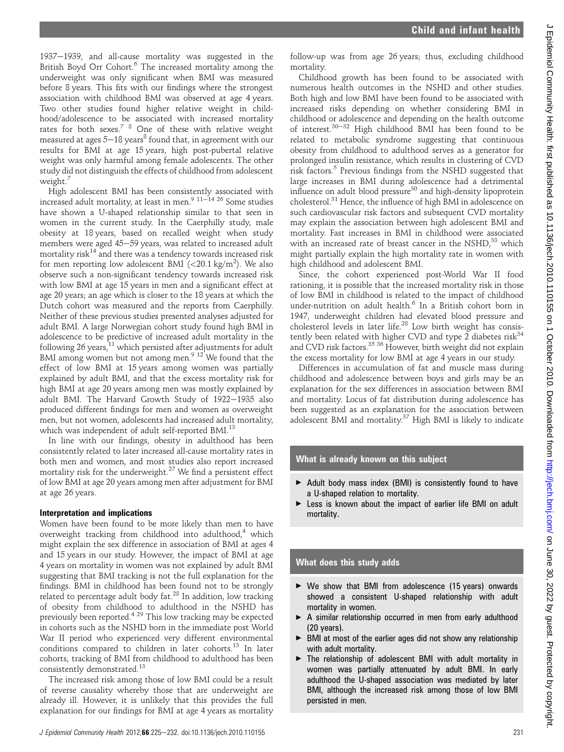follow-up was from age 26 years; thus, excluding childhood mortality. Childhood growth has been found to be associated with numerous health outcomes in the NSHD and other studies. Both high and low BMI have been found to be associated with increased risks depending on whether considering BMI in childhood or adolescence and depending on the health outcome of interest.<sup>30-32</sup> High childhood BMI has been found to be related to metabolic syndrome suggesting that continuous obesity from childhood to adulthood serves as a generator for prolonged insulin resistance, which results in clustering of CVD risk factors.<sup>5</sup> Previous findings from the NSHD suggested that large increases in BMI during adolescence had a detrimental influence on adult blood pressure<sup>30</sup> and high-density lipoprotein cholesterol.<sup>31</sup> Hence, the influence of high BMI in adolescence on such cardiovascular risk factors and subsequent CVD mortality may explain the association between high adolescent BMI and mortality. Fast increases in BMI in childhood were associated with an increased rate of breast cancer in the  $NSHD<sup>33</sup>$  which might partially explain the high mortality rate in women with high childhood and adolescent BMI. Since, the cohort experienced post-World War II food rationing, it is possible that the increased mortality risk in those of low BMI in childhood is related to the impact of childhood under-nutrition on adult health.<sup>6</sup> In a British cohort born in 1947, underweight children had elevated blood pressure and cholesterol levels in later life.<sup>28</sup> Low birth weight has consistently been related with higher CVD and type 2 diabetes  $risk^{34}$ and CVD risk factors.<sup>35 36</sup> However, birth weight did not explain the excess mortality for low BMI at age 4 years in our study. Differences in accumulation of fat and muscle mass during childhood and adolescence between boys and girls may be an explanation for the sex differences in association between BMI and mortality. Locus of fat distribution during adolescence has been suggested as an explanation for the association between adolescent BMI and mortality.<sup>37</sup> High BMI is likely to indicate

## What is already known on this subject

- $\triangleright$  Adult body mass index (BMI) is consistently found to have a U-shaped relation to mortality.
- Eess is known about the impact of earlier life BMI on adult mortality.

## What does this study adds

- ▶ We show that BMI from adolescence (15 years) onwards showed a consistent U-shaped relationship with adult mortality in women.
- A similar relationship occurred in men from early adulthood (20 years).
- BMI at most of the earlier ages did not show any relationship with adult mortality.
- $\blacktriangleright$  The relationship of adolescent BMI with adult mortality in women was partially attenuated by adult BMI. In early adulthood the U-shaped association was mediated by later BMI, although the increased risk among those of low BMI persisted in men.

1937-1939, and all-cause mortality was suggested in the British Boyd Orr Cohort.<sup>6</sup> The increased mortality among the underweight was only significant when BMI was measured before 8 years. This fits with our findings where the strongest association with childhood BMI was observed at age 4 years. Two other studies found higher relative weight in childhood/adolescence to be associated with increased mortality rates for both sexes.7 8 One of these with relative weight measured at ages  $5-18$  years<sup>8</sup> found that, in agreement with our results for BMI at age 15 years, high post-pubertal relative weight was only harmful among female adolescents. The other study did not distinguish the effects of childhood from adolescent weight.<sup>7</sup>

High adolescent BMI has been consistently associated with increased adult mortality, at least in men. $9^{11-14}$  26 Some studies have shown a U-shaped relationship similar to that seen in women in the current study. In the Caerphilly study, male obesity at 18 years, based on recalled weight when study members were aged 45-59 years, was related to increased adult mortality risk $14$  and there was a tendency towards increased risk for men reporting low adolescent BMI (<20.1 kg/m<sup>2</sup>). We also observe such a non-significant tendency towards increased risk with low BMI at age 15 years in men and a significant effect at age 20 years; an age which is closer to the 18 years at which the Dutch cohort was measured and the reports from Caerphilly. Neither of these previous studies presented analyses adjusted for adult BMI. A large Norwegian cohort study found high BMI in adolescence to be predictive of increased adult mortality in the following 26 years,<sup>11</sup> which persisted after adjustments for adult BMI among women but not among men. $912'$  We found that the effect of low BMI at 15 years among women was partially explained by adult BMI, and that the excess mortality risk for high BMI at age 20 years among men was mostly explained by adult BMI. The Harvard Growth Study of 1922-1935 also produced different findings for men and women as overweight men, but not women, adolescents had increased adult mortality, which was independent of adult self-reported BMI.<sup>13</sup>

In line with our findings, obesity in adulthood has been consistently related to later increased all-cause mortality rates in both men and women, and most studies also report increased mortality risk for the underweight.<sup>27</sup> We find a persistent effect of low BMI at age 20 years among men after adjustment for BMI at age 26 years.

## Interpretation and implications

Women have been found to be more likely than men to have overweight tracking from childhood into adulthood,<sup>4</sup> which might explain the sex difference in association of BMI at ages 4 and 15 years in our study. However, the impact of BMI at age 4 years on mortality in women was not explained by adult BMI suggesting that BMI tracking is not the full explanation for the findings. BMI in childhood has been found not to be strongly related to percentage adult body fat.<sup>28</sup> In addition, low tracking of obesity from childhood to adulthood in the NSHD has previously been reported.<sup>429</sup> This low tracking may be expected in cohorts such as the NSHD born in the immediate post World War II period who experienced very different environmental conditions compared to children in later cohorts.<sup>13</sup> In later cohorts, tracking of BMI from childhood to adulthood has been consistently demonstrated.<sup>13</sup>

The increased risk among those of low BMI could be a result of reverse causality whereby those that are underweight are already ill. However, it is unlikely that this provides the full explanation for our findings for BMI at age 4 years as mortality